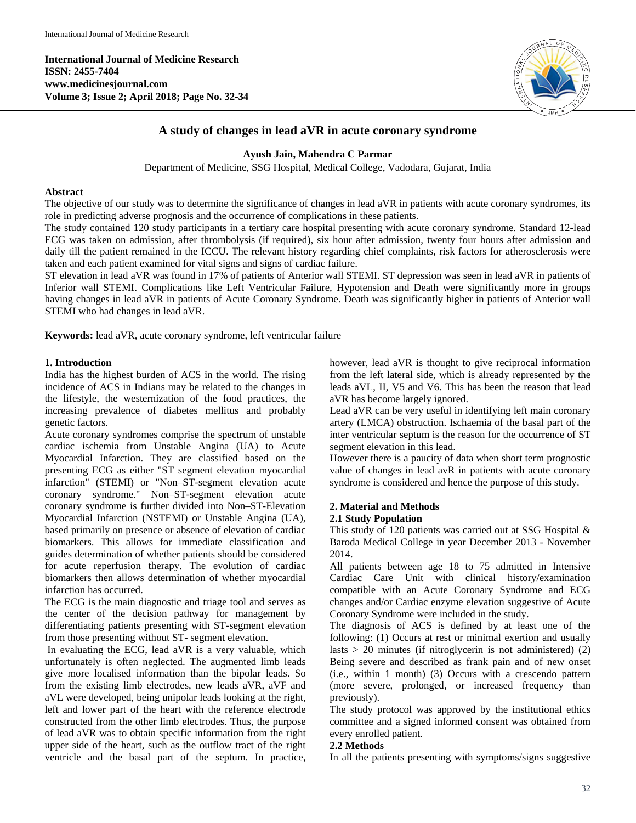**International Journal of Medicine Research ISSN: 2455-7404 www.medicinesjournal.com Volume 3; Issue 2; April 2018; Page No. 32-34**



# **A study of changes in lead aVR in acute coronary syndrome**

**Ayush Jain, Mahendra C Parmar**

Department of Medicine, SSG Hospital, Medical College, Vadodara, Gujarat, India

## **Abstract**

The objective of our study was to determine the significance of changes in lead aVR in patients with acute coronary syndromes, its role in predicting adverse prognosis and the occurrence of complications in these patients.

The study contained 120 study participants in a tertiary care hospital presenting with acute coronary syndrome. Standard 12-lead ECG was taken on admission, after thrombolysis (if required), six hour after admission, twenty four hours after admission and daily till the patient remained in the ICCU. The relevant history regarding chief complaints, risk factors for atherosclerosis were taken and each patient examined for vital signs and signs of cardiac failure.

ST elevation in lead aVR was found in 17% of patients of Anterior wall STEMI. ST depression was seen in lead aVR in patients of Inferior wall STEMI. Complications like Left Ventricular Failure, Hypotension and Death were significantly more in groups having changes in lead aVR in patients of Acute Coronary Syndrome. Death was significantly higher in patients of Anterior wall STEMI who had changes in lead aVR.

**Keywords:** lead aVR, acute coronary syndrome, left ventricular failure

# **1. Introduction**

India has the highest burden of ACS in the world. The rising incidence of ACS in Indians may be related to the changes in the lifestyle, the westernization of the food practices, the increasing prevalence of diabetes mellitus and probably genetic factors.

Acute coronary syndromes comprise the spectrum of unstable cardiac ischemia from Unstable Angina (UA) to Acute Myocardial Infarction. They are classified based on the presenting ECG as either "ST segment elevation myocardial infarction" (STEMI) or "Non–ST-segment elevation acute coronary syndrome." Non–ST-segment elevation acute coronary syndrome is further divided into Non–ST-Elevation Myocardial Infarction (NSTEMI) or Unstable Angina (UA), based primarily on presence or absence of elevation of cardiac biomarkers. This allows for immediate classification and guides determination of whether patients should be considered for acute reperfusion therapy. The evolution of cardiac biomarkers then allows determination of whether myocardial infarction has occurred.

The ECG is the main diagnostic and triage tool and serves as the center of the decision pathway for management by differentiating patients presenting with ST-segment elevation from those presenting without ST- segment elevation.

In evaluating the ECG, lead aVR is a very valuable, which unfortunately is often neglected. The augmented limb leads give more localised information than the bipolar leads. So from the existing limb electrodes, new leads aVR, aVF and aVL were developed, being unipolar leads looking at the right, left and lower part of the heart with the reference electrode constructed from the other limb electrodes. Thus, the purpose of lead aVR was to obtain specific information from the right upper side of the heart, such as the outflow tract of the right ventricle and the basal part of the septum. In practice, however, lead aVR is thought to give reciprocal information from the left lateral side, which is already represented by the leads aVL, II, V5 and V6. This has been the reason that lead aVR has become largely ignored.

Lead aVR can be very useful in identifying left main coronary artery (LMCA) obstruction. Ischaemia of the basal part of the inter ventricular septum is the reason for the occurrence of ST segment elevation in this lead.

However there is a paucity of data when short term prognostic value of changes in lead avR in patients with acute coronary syndrome is considered and hence the purpose of this study.

# **2. Material and Methods**

#### **2.1 Study Population**

This study of 120 patients was carried out at SSG Hospital & Baroda Medical College in year December 2013 - November 2014.

All patients between age 18 to 75 admitted in Intensive Cardiac Care Unit with clinical history/examination compatible with an Acute Coronary Syndrome and ECG changes and/or Cardiac enzyme elevation suggestive of Acute Coronary Syndrome were included in the study.

The diagnosis of ACS is defined by at least one of the following: (1) Occurs at rest or minimal exertion and usually lasts  $> 20$  minutes (if nitroglycerin is not administered) (2) Being severe and described as frank pain and of new onset (i.e., within 1 month) (3) Occurs with a crescendo pattern (more severe, prolonged, or increased frequency than previously).

The study protocol was approved by the institutional ethics committee and a signed informed consent was obtained from every enrolled patient.

# **2.2 Methods**

In all the patients presenting with symptoms/signs suggestive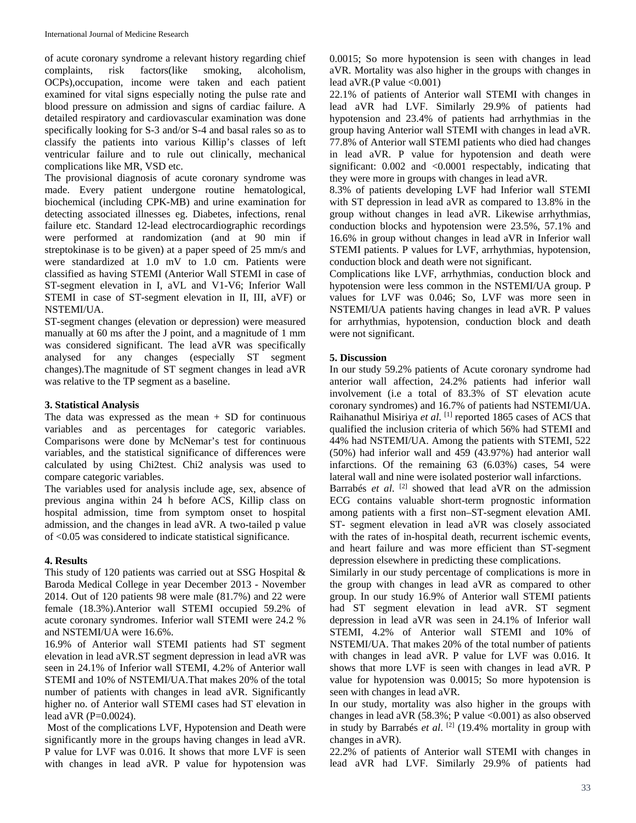of acute coronary syndrome a relevant history regarding chief complaints, risk factors(like smoking, alcoholism, OCPs),occupation, income were taken and each patient examined for vital signs especially noting the pulse rate and blood pressure on admission and signs of cardiac failure. A detailed respiratory and cardiovascular examination was done specifically looking for S-3 and/or S-4 and basal rales so as to classify the patients into various Killip's classes of left ventricular failure and to rule out clinically, mechanical complications like MR, VSD etc.

The provisional diagnosis of acute coronary syndrome was made. Every patient undergone routine hematological, biochemical (including CPK-MB) and urine examination for detecting associated illnesses eg. Diabetes, infections, renal failure etc. Standard 12-lead electrocardiographic recordings were performed at randomization (and at 90 min if streptokinase is to be given) at a paper speed of 25 mm/s and were standardized at 1.0 mV to 1.0 cm. Patients were classified as having STEMI (Anterior Wall STEMI in case of ST-segment elevation in I, aVL and V1-V6; Inferior Wall STEMI in case of ST-segment elevation in II, III, aVF) or NSTEMI/UA.

ST-segment changes (elevation or depression) were measured manually at 60 ms after the J point, and a magnitude of 1 mm was considered significant. The lead aVR was specifically analysed for any changes (especially ST segment changes).The magnitude of ST segment changes in lead aVR was relative to the TP segment as a baseline.

## **3. Statistical Analysis**

The data was expressed as the mean  $+$  SD for continuous variables and as percentages for categoric variables. Comparisons were done by McNemar's test for continuous variables, and the statistical significance of differences were calculated by using Chi2test. Chi2 analysis was used to compare categoric variables.

The variables used for analysis include age, sex, absence of previous angina within 24 h before ACS, Killip class on hospital admission, time from symptom onset to hospital admission, and the changes in lead aVR. A two-tailed p value of <0.05 was considered to indicate statistical significance.

#### **4. Results**

This study of 120 patients was carried out at SSG Hospital & Baroda Medical College in year December 2013 - November 2014. Out of 120 patients 98 were male (81.7%) and 22 were female (18.3%).Anterior wall STEMI occupied 59.2% of acute coronary syndromes. Inferior wall STEMI were 24.2 % and NSTEMI/UA were 16.6%.

16.9% of Anterior wall STEMI patients had ST segment elevation in lead aVR.ST segment depression in lead aVR was seen in 24.1% of Inferior wall STEMI, 4.2% of Anterior wall STEMI and 10% of NSTEMI/UA.That makes 20% of the total number of patients with changes in lead aVR. Significantly higher no. of Anterior wall STEMI cases had ST elevation in lead aVR (P=0.0024).

Most of the complications LVF, Hypotension and Death were significantly more in the groups having changes in lead aVR. P value for LVF was 0.016. It shows that more LVF is seen with changes in lead aVR. P value for hypotension was 0.0015; So more hypotension is seen with changes in lead aVR. Mortality was also higher in the groups with changes in lead aVR.(P value  $\leq 0.001$ )

22.1% of patients of Anterior wall STEMI with changes in lead aVR had LVF. Similarly 29.9% of patients had hypotension and 23.4% of patients had arrhythmias in the group having Anterior wall STEMI with changes in lead aVR. 77.8% of Anterior wall STEMI patients who died had changes in lead aVR. P value for hypotension and death were significant: 0.002 and <0.0001 respectably, indicating that they were more in groups with changes in lead aVR.

8.3% of patients developing LVF had Inferior wall STEMI with ST depression in lead aVR as compared to 13.8% in the group without changes in lead aVR. Likewise arrhythmias, conduction blocks and hypotension were 23.5%, 57.1% and 16.6% in group without changes in lead aVR in Inferior wall STEMI patients. P values for LVF, arrhythmias, hypotension, conduction block and death were not significant.

Complications like LVF, arrhythmias, conduction block and hypotension were less common in the NSTEMI/UA group. P values for LVF was 0.046; So, LVF was more seen in NSTEMI/UA patients having changes in lead aVR. P values for arrhythmias, hypotension, conduction block and death were not significant.

## **5. Discussion**

In our study 59.2% patients of Acute coronary syndrome had anterior wall affection, 24.2% patients had inferior wall involvement (i.e a total of 83.3% of ST elevation acute coronary syndromes) and 16.7% of patients had NSTEMI/UA. Raihanathul Misiriya *et al*. [1] reported 1865 cases of ACS that qualified the inclusion criteria of which 56% had STEMI and 44% had NSTEMI/UA. Among the patients with STEMI, 522 (50%) had inferior wall and 459 (43.97%) had anterior wall infarctions. Of the remaining 63 (6.03%) cases, 54 were lateral wall and nine were isolated posterior wall infarctions. Barrabés *et al.* <sup>[2]</sup> showed that lead aVR on the admission ECG contains valuable short-term prognostic information among patients with a first non–ST-segment elevation AMI. ST- segment elevation in lead aVR was closely associated with the rates of in-hospital death, recurrent ischemic events, and heart failure and was more efficient than ST-segment depression elsewhere in predicting these complications.

Similarly in our study percentage of complications is more in the group with changes in lead aVR as compared to other group. In our study 16.9% of Anterior wall STEMI patients had ST segment elevation in lead aVR. ST segment depression in lead aVR was seen in 24.1% of Inferior wall STEMI, 4.2% of Anterior wall STEMI and 10% of NSTEMI/UA. That makes 20% of the total number of patients with changes in lead aVR. P value for LVF was 0.016. It shows that more LVF is seen with changes in lead aVR. P value for hypotension was 0.0015; So more hypotension is seen with changes in lead aVR.

In our study, mortality was also higher in the groups with changes in lead aVR  $(58.3\%; P$  value <0.001) as also observed in study by Barrabés *et al*. [2] (19.4% mortality in group with changes in aVR).

22.2% of patients of Anterior wall STEMI with changes in lead aVR had LVF. Similarly 29.9% of patients had